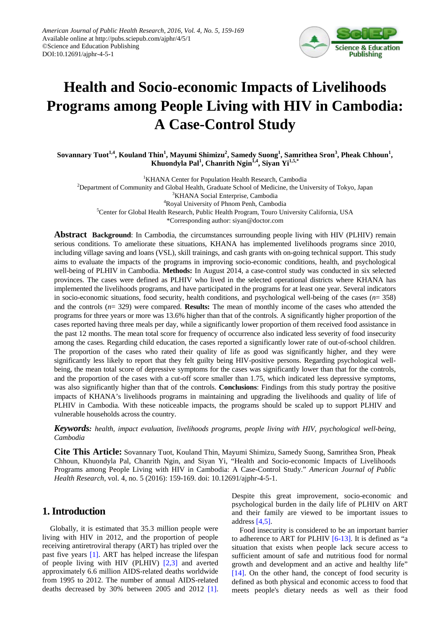

# **Health and Socio-economic Impacts of Livelihoods Programs among People Living with HIV in Cambodia: A Case-Control Study**

 $S$ ovannary Tuot $^{1,4}$ , Kouland Thin $^1$ , Mayumi Shimizu $^2$ , Samedy Suong $^1$ , Samrithea Sron $^3$ , Pheak Chhoun $^1$ , **Khuondyla Pal<sup>1</sup> , Chanrith Ngin1,4, Siyan Yi1,5,\***

<sup>1</sup>KHANA Center for Population Health Research, Cambodia 2 Department of Community and Global Health, Graduate School of Medicine, the University of Tokyo, Japan <sup>3</sup>KHANA Social Enterprise, Cambodia 4 Royal University of Phnom Penh, Cambodia <sup>5</sup>Center for Global Health Research, Public Health Program, Touro University California, USA \*Corresponding author: siyan@doctor.com

**Abstract Background**: In Cambodia, the circumstances surrounding people living with HIV (PLHIV) remain serious conditions. To ameliorate these situations, KHANA has implemented livelihoods programs since 2010, including village saving and loans (VSL), skill trainings, and cash grants with on-going technical support. This study aims to evaluate the impacts of the programs in improving socio-economic conditions, health, and psychological well-being of PLHIV in Cambodia. **Methods:** In August 2014, a case-control study was conducted in six selected provinces. The cases were defined as PLHIV who lived in the selected operational districts where KHANA has implemented the livelihoods programs, and have participated in the programs for at least one year. Several indicators in socio-economic situations, food security, health conditions, and psychological well-being of the cases (*n*= 358) and the controls (*n*= 329) were compared. **Results:** The mean of monthly income of the cases who attended the programs for three years or more was 13.6% higher than that of the controls. A significantly higher proportion of the cases reported having three meals per day, while a significantly lower proportion of them received food assistance in the past 12 months. The mean total score for frequency of occurrence also indicated less severity of food insecurity among the cases. Regarding child education, the cases reported a significantly lower rate of out-of-school children. The proportion of the cases who rated their quality of life as good was significantly higher, and they were significantly less likely to report that they felt guilty being HIV-positive persons. Regarding psychological wellbeing, the mean total score of depressive symptoms for the cases was significantly lower than that for the controls, and the proportion of the cases with a cut-off score smaller than 1.75, which indicated less depressive symptoms, was also significantly higher than that of the controls. **Conclusions**: Findings from this study portray the positive impacts of KHANA's livelihoods programs in maintaining and upgrading the livelihoods and quality of life of PLHIV in Cambodia. With these noticeable impacts, the programs should be scaled up to support PLHIV and vulnerable households across the country.

*Keywords: health, impact evaluation, livelihoods programs, people living with HIV, psychological well-being, Cambodia*

**Cite This Article:** Sovannary Tuot, Kouland Thin, Mayumi Shimizu, Samedy Suong, Samrithea Sron, Pheak Chhoun, Khuondyla Pal, Chanrith Ngin, and Siyan Yi, "Health and Socio-economic Impacts of Livelihoods Programs among People Living with HIV in Cambodia: A Case-Control Study." *American Journal of Public Health Research*, vol. 4, no. 5 (2016): 159-169. doi: 10.12691/ajphr-4-5-1.

# **1. Introduction**

Globally, it is estimated that 35.3 million people were living with HIV in 2012, and the proportion of people receiving antiretroviral therapy (ART) has tripled over the past five years [\[1\].](#page-8-0) ART has helped increase the lifespan of people living with HIV (PLHIV) [\[2,3\]](#page-8-1) and averted approximately 6.6 million AIDS-related deaths worldwide from 1995 to 2012. The number of annual AIDS-related deaths decreased by 30% between 2005 and 2012 [\[1\].](#page-8-0) Despite this great improvement, socio-economic and psychological burden in the daily life of PLHIV on ART and their family are viewed to be important issues to addres[s \[4,5\].](#page-8-2)

Food insecurity is considered to be an important barrier to adherence to ART for PLHIV [\[6-13\].](#page-8-3) It is defined as "a situation that exists when people lack secure access to sufficient amount of safe and nutritious food for normal growth and development and an active and healthy life" [\[14\].](#page-8-4) On the other hand, the concept of food security is defined as both physical and economic access to food that meets people's dietary needs as well as their food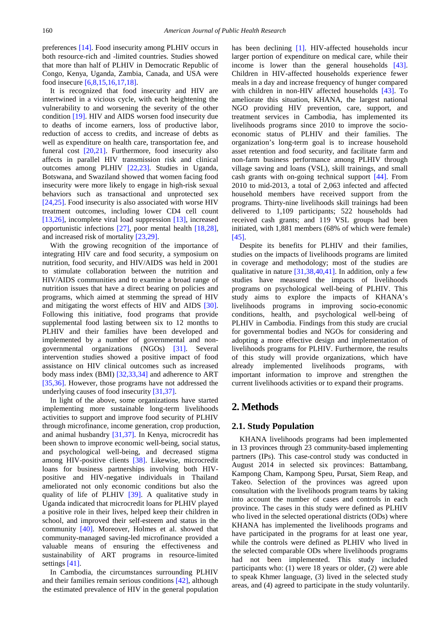preferences [\[14\].](#page-8-4) Food insecurity among PLHIV occurs in both resource-rich and -limited countries. Studies showed that more than half of PLHIV in Democratic Republic of Congo, Kenya, Uganda, Zambia, Canada, and USA were food insecure [\[6,8,15,16,17,18\].](#page-8-3)

It is recognized that food insecurity and HIV are intertwined in a vicious cycle, with each heightening the vulnerability to and worsening the severity of the other condition [\[19\].](#page-9-0) HIV and AIDS worsen food insecurity due to deaths of income earners, loss of productive labor, reduction of access to credits, and increase of debts as well as expenditure on health care, transportation fee, and funeral cost [\[20,21\].](#page-9-1) Furthermore, food insecurity also affects in parallel HIV transmission risk and clinical outcomes among PLHIV [\[22,23\].](#page-9-2) Studies in Uganda, Botswana, and Swaziland showed that women facing food insecurity were more likely to engage in high-risk sexual behaviors such as transactional and unprotected sex [\[24,25\].](#page-9-3) Food insecurity is also associated with worse HIV treatment outcomes, including lower CD4 cell count [\[13,26\],](#page-8-5) incomplete viral load suppression [\[13\],](#page-8-5) increased opportunistic infections [\[27\],](#page-9-4) poor mental health [\[18,28\],](#page-9-5) and increased risk of mortality [\[23,29\].](#page-9-6)

With the growing recognition of the importance of integrating HIV care and food security, a symposium on nutrition, food security, and HIV/AIDS was held in 2001 to stimulate collaboration between the nutrition and HIV/AIDS communities and to examine a broad range of nutrition issues that have a direct bearing on policies and programs, which aimed at stemming the spread of HIV and mitigating the worst effects of HIV and AIDS [\[30\].](#page-9-7) Following this initiative, food programs that provide supplemental food lasting between six to 12 months to PLHIV and their families have been developed and implemented by a number of governmental and nongovernmental organizations (NGOs) [\[31\].](#page-9-8) Several intervention studies showed a positive impact of food assistance on HIV clinical outcomes such as increased body mass index (BMI) [\[32,33,34\]](#page-9-9) and adherence to ART [\[35,36\].](#page-9-10) However, those programs have not addressed the underlying causes of food insecurit[y \[31,37\].](#page-9-8)

In light of the above, some organizations have started implementing more sustainable long-term livelihoods activities to support and improve food security of PLHIV through microfinance, income generation, crop production, and animal husbandry [\[31,37\].](#page-9-8) In Kenya, microcredit has been shown to improve economic well-being, social status, and psychological well-being, and decreased stigma among HIV-positive clients [\[38\].](#page-9-11) Likewise, microcredit loans for business partnerships involving both HIVpositive and HIV-negative individuals in Thailand ameliorated not only economic conditions but also the quality of life of PLHIV [\[39\].](#page-9-12) A qualitative study in Uganda indicated that microcredit loans for PLHIV played a positive role in their lives, helped keep their children in school, and improved their self-esteem and status in the community [\[40\].](#page-9-13) Moreover, Holmes et al. showed that community-managed saving-led microfinance provided a valuable means of ensuring the effectiveness and sustainability of ART programs in resource-limited settings [41].

In Cambodia, the circumstances surrounding PLHIV and their families remain serious conditions [\[42\],](#page-9-15) although the estimated prevalence of HIV in the general population has been declining [\[1\].](#page-8-0) HIV-affected households incur larger portion of expenditure on medical care, while their income is lower than the general households [\[43\].](#page-9-16) Children in HIV-affected households experience fewer meals in a day and increase frequency of hunger compared with children in non-HIV affected households [\[43\].](#page-9-16) To ameliorate this situation, KHANA, the largest national NGO providing HIV prevention, care, support, and treatment services in Cambodia, has implemented its livelihoods programs since 2010 to improve the socioeconomic status of PLHIV and their families. The organization's long-term goal is to increase household asset retention and food security, and facilitate farm and non-farm business performance among PLHIV through village saving and loans (VSL), skill trainings, and small cash grants with on-going technical support [\[44\].](#page-9-17) From 2010 to mid-2013, a total of 2,063 infected and affected household members have received support from the programs. Thirty-nine livelihoods skill trainings had been delivered to 1,109 participants; 522 households had received cash grants; and 119 VSL groups had been initiated, with 1,881 members (68% of which were female) [\[45\].](#page-9-18)

Despite its benefits for PLHIV and their families, studies on the impacts of livelihoods programs are limited in coverage and methodology; most of the studies are qualitative in nature  $[31,38,40,41]$ . In addition, only a few studies have measured the impacts of livelihoods programs on psychological well-being of PLHIV. This study aims to explore the impacts of KHANA's livelihoods programs in improving socio-economic conditions, health, and psychological well-being of PLHIV in Cambodia. Findings from this study are crucial for governmental bodies and NGOs for considering and adopting a more effective design and implementation of livelihoods programs for PLHIV. Furthermore, the results of this study will provide organizations, which have already implemented livelihoods programs, with important information to improve and strengthen the current livelihoods activities or to expand their programs.

# **2. Methods**

#### **2.1. Study Population**

KHANA livelihoods programs had been implemented in 13 provinces through 23 community-based implementing partners (IPs). This case-control study was conducted in August 2014 in selected six provinces: Battambang, Kampong Cham, Kampong Speu, Pursat, Siem Reap, and Takeo. Selection of the provinces was agreed upon consultation with the livelihoods program teams by taking into account the number of cases and controls in each province. The cases in this study were defined as PLHIV who lived in the selected operational districts (ODs) where KHANA has implemented the livelihoods programs and have participated in the programs for at least one year, while the controls were defined as PLHIV who lived in the selected comparable ODs where livelihoods programs had not been implemented. This study included participants who: (1) were 18 years or older, (2) were able to speak Khmer language, (3) lived in the selected study areas, and (4) agreed to participate in the study voluntarily.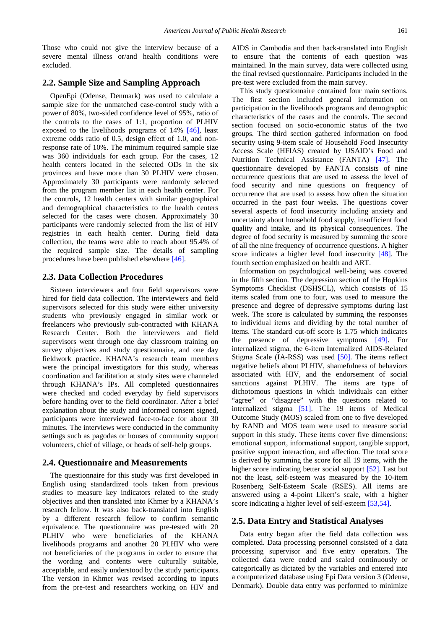Those who could not give the interview because of a severe mental illness or/and health conditions were excluded.

## **2.2. Sample Size and Sampling Approach**

OpenEpi (Odense, Denmark) was used to calculate a sample size for the unmatched case-control study with a power of 80%, two-sided confidence level of 95%, ratio of the controls to the cases of 1:1, proportion of PLHIV exposed to the livelihoods programs of 14% [\[46\],](#page-9-19) least extreme odds ratio of 0.5, design effect of 1.0, and nonresponse rate of 10%. The minimum required sample size was 360 individuals for each group. For the cases, 12 health centers located in the selected ODs in the six provinces and have more than 30 PLHIV were chosen. Approximately 30 participants were randomly selected from the program member list in each health center. For the controls, 12 health centers with similar geographical and demographical characteristics to the health centers selected for the cases were chosen. Approximately 30 participants were randomly selected from the list of HIV registries in each health center. During field data collection, the teams were able to reach about 95.4% of the required sample size. The details of sampling procedures have been published elsewher[e \[46\].](#page-9-19)

#### **2.3. Data Collection Procedures**

Sixteen interviewers and four field supervisors were hired for field data collection. The interviewers and field supervisors selected for this study were either university students who previously engaged in similar work or freelancers who previously sub-contracted with KHANA Research Center. Both the interviewers and field supervisors went through one day classroom training on survey objectives and study questionnaire, and one day fieldwork practice. KHANA's research team members were the principal investigators for this study, whereas coordination and facilitation at study sites were channeled through KHANA's IPs. All completed questionnaires were checked and coded everyday by field supervisors before handing over to the field coordinator. After a brief explanation about the study and informed consent signed, participants were interviewed face-to-face for about 30 minutes. The interviews were conducted in the community settings such as pagodas or houses of community support volunteers, chief of village, or heads of self-help groups.

#### **2.4. Questionnaire and Measurements**

The questionnaire for this study was first developed in English using standardized tools taken from previous studies to measure key indicators related to the study objectives and then translated into Khmer by a KHANA's research fellow. It was also back-translated into English by a different research fellow to confirm semantic equivalence. The questionnaire was pre-tested with 20 PLHIV who were beneficiaries of the KHANA livelihoods programs and another 20 PLHIV who were not beneficiaries of the programs in order to ensure that the wording and contents were culturally suitable, acceptable, and easily understood by the study participants. The version in Khmer was revised according to inputs from the pre-test and researchers working on HIV and

AIDS in Cambodia and then back-translated into English to ensure that the contents of each question was maintained. In the main survey, data were collected using the final revised questionnaire. Participants included in the pre-test were excluded from the main survey.

This study questionnaire contained four main sections. The first section included general information on participation in the livelihoods programs and demographic characteristics of the cases and the controls. The second section focused on socio-economic status of the two groups. The third section gathered information on food security using 9-item scale of Household Food Insecurity Access Scale (HFIAS) created by USAID's Food and Nutrition Technical Assistance (FANTA) [\[47\].](#page-9-20) The questionnaire developed by FANTA consists of nine occurrence questions that are used to assess the level of food security and nine questions on frequency of occurrence that are used to assess how often the situation occurred in the past four weeks. The questions cover several aspects of food insecurity including anxiety and uncertainty about household food supply, insufficient food quality and intake, and its physical consequences. The degree of food security is measured by summing the score of all the nine frequency of occurrence questions. A higher score indicates a higher level food insecurity [\[48\].](#page-9-21) The fourth section emphasized on health and ART.

Information on psychological well-being was covered in the fifth section. The depression section of the Hopkins Symptoms Checklist (DSHSCL), which consists of 15 items scaled from one to four, was used to measure the presence and degree of depressive symptoms during last week. The score is calculated by summing the responses to individual items and dividing by the total number of items. The standard cut-off score is 1.75 which indicates the presence of depressive symptoms [\[49\].](#page-9-22) For internalized stigma, the 6-item Internalized AIDS-Related Stigma Scale (IA-RSS) was used [\[50\].](#page-9-23) The items reflect negative beliefs about PLHIV, shamefulness of behaviors associated with HIV, and the endorsement of social sanctions against PLHIV. The items are type of dichotomous questions in which individuals can either "agree" or "disagree" with the questions related to internalized stigma [\[51\].](#page-9-24) The 19 items of Medical Outcome Study (MOS) scaled from one to five developed by RAND and MOS team were used to measure social support in this study. These items cover five dimensions: emotional support, informational support, tangible support, positive support interaction, and affection. The total score is derived by summing the score for all 19 items, with the higher score indicating better social support [\[52\].](#page-9-25) Last but not the least, self-esteem was measured by the 10-item Rosenberg Self-Esteem Scale (RSES). All items are answered using a 4-point Likert's scale, with a higher score indicating a higher level of self-esteem [\[53,54\].](#page-9-26)

#### **2.5. Data Entry and Statistical Analyses**

Data entry began after the field data collection was completed. Data processing personnel consisted of a data processing supervisor and five entry operators. The collected data were coded and scaled continuously or categorically as dictated by the variables and entered into a computerized database using Epi Data version 3 (Odense, Denmark). Double data entry was performed to minimize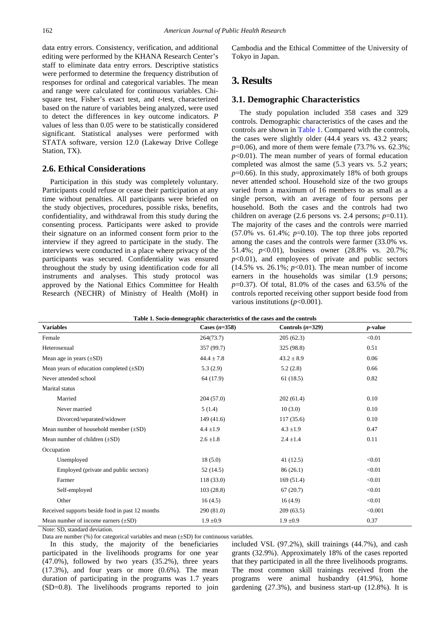data entry errors. Consistency, verification, and additional editing were performed by the KHANA Research Center's staff to eliminate data entry errors. Descriptive statistics were performed to determine the frequency distribution of responses for ordinal and categorical variables. The mean and range were calculated for continuous variables. Chisquare test, Fisher's exact test, and *t*-test, characterized based on the nature of variables being analyzed, were used to detect the differences in key outcome indicators. *P* values of less than 0.05 were to be statistically considered significant. Statistical analyses were performed with STATA software, version 12.0 (Lakeway Drive College Station, TX).

#### **2.6. Ethical Considerations**

Participation in this study was completely voluntary. Participants could refuse or cease their participation at any time without penalties. All participants were briefed on the study objectives, procedures, possible risks, benefits, confidentiality, and withdrawal from this study during the consenting process. Participants were asked to provide their signature on an informed consent form prior to the interview if they agreed to participate in the study. The interviews were conducted in a place where privacy of the participants was secured. Confidentiality was ensured throughout the study by using identification code for all instruments and analyses. This study protocol was approved by the National Ethics Committee for Health Research (NECHR) of Ministry of Health (MoH) in Cambodia and the Ethical Committee of the University of Tokyo in Japan.

## **3. Results**

#### **3.1. Demographic Characteristics**

The study population included 358 cases and 329 controls. Demographic characteristics of the cases and the controls are shown in [Table 1.](#page-3-0) Compared with the controls, the cases were slightly older (44.4 years vs. 43.2 years; *p*=0.06), and more of them were female (73.7% vs. 62.3%;  $p<0.01$ ). The mean number of years of formal education completed was almost the same (5.3 years vs. 5.2 years;  $p=0.66$ ). In this study, approximately 18% of both groups never attended school. Household size of the two groups varied from a maximum of 16 members to as small as a single person, with an average of four persons per household. Both the cases and the controls had two children on average  $(2.6 \text{ persons vs. } 2.4 \text{ persons}; p=0.11).$ The majority of the cases and the controls were married  $(57.0\% \text{ vs. } 61.4\%; p=0.10)$ . The top three jobs reported among the cases and the controls were farmer (33.0% vs. 51.4%; *p*<0.01), business owner (28.8% vs. 20.7%;  $p<0.01$ ), and employees of private and public sectors  $(14.5\% \text{ vs. } 26.1\% \text{ ; } p<0.01)$ . The mean number of income earners in the households was similar (1.9 persons; *p*=0.37). Of total, 81.0% of the cases and 63.5% of the controls reported receiving other support beside food from various institutions (*p*<0.001).

<span id="page-3-0"></span>

| Table 1. Socio-demographic characteristics of the cases and the controls |                 |                    |            |  |
|--------------------------------------------------------------------------|-----------------|--------------------|------------|--|
| <b>Variables</b>                                                         | Cases $(n=358)$ | Controls $(n=329)$ | $p$ -value |  |
| Female                                                                   | 264(73.7)       | 205(62.3)          | < 0.01     |  |
| Heterosexual                                                             | 357 (99.7)      | 325 (98.8)         | 0.51       |  |
| Mean age in years $(\pm SD)$                                             | $44.4 \pm 7.8$  | $43.2 \pm 8.9$     | 0.06       |  |
| Mean years of education completed $(\pm SD)$                             | 5.3(2.9)        | 5.2(2.8)           | 0.66       |  |
| Never attended school                                                    | 64 (17.9)       | 61(18.5)           | 0.82       |  |
| <b>Marital</b> status                                                    |                 |                    |            |  |
| Married                                                                  | 204(57.0)       | 202(61.4)          | 0.10       |  |
| Never married                                                            | 5(1.4)          | 10(3.0)            | 0.10       |  |
| Divorced/separated/widower                                               | 149(41.6)       | 117(35.6)          | 0.10       |  |
| Mean number of household member $(\pm SD)$                               | $4.4 \pm 1.9$   | $4.3 \pm 1.9$      | 0.47       |  |
| Mean number of children $(\pm SD)$                                       | $2.6 \pm 1.8$   | $2.4 \pm 1.4$      | 0.11       |  |
| Occupation                                                               |                 |                    |            |  |
| Unemployed                                                               | 18(5.0)         | 41(12.5)           | < 0.01     |  |
| Employed (private and public sectors)                                    | 52 (14.5)       | 86(26.1)           | < 0.01     |  |
| Farmer                                                                   | 118(33.0)       | 169(51.4)          | < 0.01     |  |
| Self-employed                                                            | 103(28.8)       | 67(20.7)           | < 0.01     |  |
| Other                                                                    | 16(4.5)         | 16(4.9)            | < 0.01     |  |
| Received supports beside food in past 12 months                          | 290 (81.0)      | 209(63.5)          | < 0.001    |  |
| Mean number of income earners $(\pm SD)$                                 | $1.9 \pm 0.9$   | $1.9 \pm 0.9$      | 0.37       |  |

Note: SD, standard deviation.

Data are number (%) for categorical variables and mean  $(\pm SD)$  for continuous variables.

In this study, the majority of the beneficiaries participated in the livelihoods programs for one year  $(47.0\%)$ , followed by two years  $(35.2\%)$ , three years  $(17.3\%)$ , and four years or more  $(0.6\%)$ . The mean duration of participating in the programs was 1.7 years (SD=0.8). The livelihoods programs reported to join

included VSL (97.2%), skill trainings (44.7%), and cash grants (32.9%). Approximately 18% of the cases reported that they participated in all the three livelihoods programs. The most common skill trainings received from the programs were animal husbandry (41.9%), home gardening (27.3%), and business start-up (12.8%). It is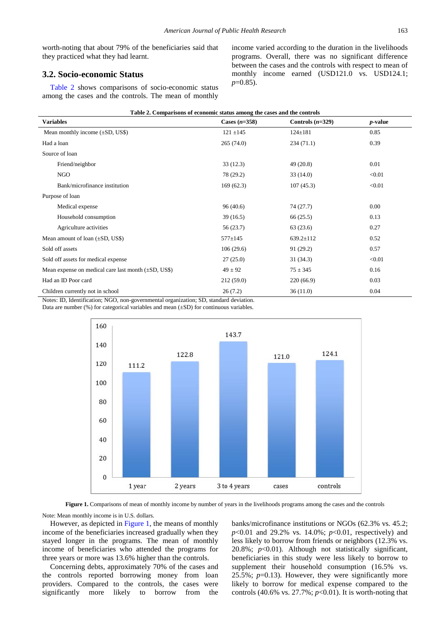worth-noting that about 79% of the beneficiaries said that they practiced what they had learnt.

#### **3.2. Socio-economic Status**

[Table 2](#page-4-0) shows comparisons of socio-economic status among the cases and the controls. The mean of monthly income varied according to the duration in the livelihoods programs. Overall, there was no significant difference between the cases and the controls with respect to mean of monthly income earned (USD121.0 vs. USD124.1; *p*=0.85).

<span id="page-4-0"></span>

| Table 2. Comparisons of economic status among the cases and the controls                                                                                                                                              |                                                                                                                   |                    |                 |  |
|-----------------------------------------------------------------------------------------------------------------------------------------------------------------------------------------------------------------------|-------------------------------------------------------------------------------------------------------------------|--------------------|-----------------|--|
| <b>Variables</b>                                                                                                                                                                                                      | Cases $(n=358)$                                                                                                   | Controls $(n=329)$ | <i>p</i> -value |  |
| Mean monthly income $(\pm SD, US\$ )                                                                                                                                                                                  | $121 \pm 145$                                                                                                     | $124 \pm 181$      | 0.85            |  |
| Had a loan                                                                                                                                                                                                            | 265(74.0)                                                                                                         | 234(71.1)          | 0.39            |  |
| Source of loan                                                                                                                                                                                                        |                                                                                                                   |                    |                 |  |
| Friend/neighbor                                                                                                                                                                                                       | 33(12.3)                                                                                                          | 49(20.8)           | 0.01            |  |
| <b>NGO</b>                                                                                                                                                                                                            | 78 (29.2)                                                                                                         | 33(14.0)           | < 0.01          |  |
| Bank/microfinance institution                                                                                                                                                                                         | 169(62.3)                                                                                                         | 107(45.3)          | < 0.01          |  |
| Purpose of loan                                                                                                                                                                                                       |                                                                                                                   |                    |                 |  |
| Medical expense                                                                                                                                                                                                       | 96(40.6)                                                                                                          | 74 (27.7)          | $0.00\,$        |  |
| Household consumption                                                                                                                                                                                                 | 39(16.5)                                                                                                          | 66(25.5)           | 0.13            |  |
| Agriculture activities                                                                                                                                                                                                | 56 (23.7)                                                                                                         | 63(23.6)           | 0.27            |  |
| Mean amount of loan $(\pm SD, US\$ )                                                                                                                                                                                  | $577 \pm 145$                                                                                                     | $639.2 \pm 112$    | 0.52            |  |
| Sold off assets                                                                                                                                                                                                       | 106(29.6)                                                                                                         | 91 (29.2)          | 0.57            |  |
| Sold off assets for medical expense                                                                                                                                                                                   | 27(25.0)                                                                                                          | 31(34.3)           | < 0.01          |  |
| Mean expense on medical care last month $(\pm SD, US\$ )                                                                                                                                                              | $49 \pm 92$                                                                                                       | $75 \pm 345$       | 0.16            |  |
| Had an ID Poor card                                                                                                                                                                                                   | 212(59.0)                                                                                                         | 220 (66.9)         | 0.03            |  |
| Children currently not in school<br>$\cdot$ $\cdot$<br>$\mathbf{r}$ $\mathbf{r}$ $\mathbf{r}$ $\mathbf{r}$ $\mathbf{r}$ $\mathbf{r}$ $\mathbf{r}$ $\mathbf{r}$ $\mathbf{r}$<br>$\overline{\mathbf{1500}}$<br>$\sim$ 1 | 26(7.2)<br>$\alpha$<br>$\mathbf{1}$ $\mathbf{1}$ $\mathbf{1}$ $\mathbf{1}$ $\mathbf{1}$ $\mathbf{1}$ $\mathbf{1}$ | 36(11.0)           | 0.04            |  |

Notes: ID, Identification; NGO, non-governmental organization; SD, standard deviation.

<span id="page-4-1"></span>Data are number  $(\%)$  for categorical variables and mean  $(\pm SD)$  for continuous variables.



**Figure 1.** Comparisons of mean of monthly income by number of years in the livelihoods programs among the cases and the controls

Note: Mean monthly income is in U.S. dollars.

However, as depicted in [Figure 1,](#page-4-1) the means of monthly income of the beneficiaries increased gradually when they stayed longer in the programs. The mean of monthly income of beneficiaries who attended the programs for three years or more was 13.6% higher than the controls.

Concerning debts, approximately 70% of the cases and the controls reported borrowing money from loan providers. Compared to the controls, the cases were significantly more likely to borrow from the

banks/microfinance institutions or NGOs (62.3% vs. 45.2; *p*<0.01 and 29.2% vs. 14.0%; *p*<0.01, respectively) and less likely to borrow from friends or neighbors (12.3% vs. 20.8%; *p*<0.01). Although not statistically significant, beneficiaries in this study were less likely to borrow to supplement their household consumption (16.5% vs. 25.5%; *p*=0.13). However, they were significantly more likely to borrow for medical expense compared to the controls (40.6% vs.  $27.7\%$ ;  $p<0.01$ ). It is worth-noting that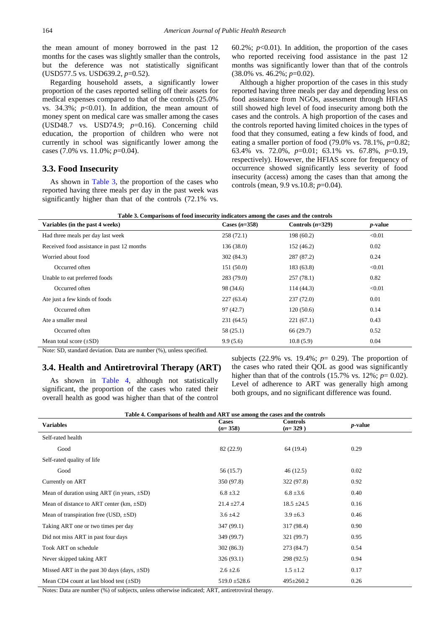the mean amount of money borrowed in the past 12 months for the cases was slightly smaller than the controls, but the deference was not statistically significant (USD577.5 vs. USD639.2, *p*=0.52).

Regarding household assets, a significantly lower proportion of the cases reported selling off their assets for medical expenses compared to that of the controls (25.0% vs.  $34.3\%$ ;  $p<0.01$ ). In addition, the mean amount of money spent on medical care was smaller among the cases (USD48.7 vs. USD74.9; *p*=0.16). Concerning child education, the proportion of children who were not currently in school was significantly lower among the cases (7.0% vs. 11.0%; *p*=0.04).

### **3.3. Food Insecurity**

As shown in [Table 3,](#page-5-0) the proportion of the cases who reported having three meals per day in the past week was significantly higher than that of the controls (72.1% vs. 60.2%;  $p<0.01$ ). In addition, the proportion of the cases who reported receiving food assistance in the past 12 months was significantly lower than that of the controls (38.0% vs. 46.2%; *p*=0.02).

Although a higher proportion of the cases in this study reported having three meals per day and depending less on food assistance from NGOs, assessment through HFIAS still showed high level of food insecurity among both the cases and the controls. A high proportion of the cases and the controls reported having limited choices in the types of food that they consumed, eating a few kinds of food, and eating a smaller portion of food (79.0% vs. 78.1%, *p*=0.82; 63.4% vs. 72.0%, *p*=0.01; 63.1% vs. 67.8%, *p*=0.19, respectively). However, the HFIAS score for frequency of occurrence showed significantly less severity of food insecurity (access) among the cases than that among the controls (mean, 9.9 vs.10.8; *p*=0.04).

| Table 3. Comparisons of food insecurity indicators among the cases and the controls |  |  |
|-------------------------------------------------------------------------------------|--|--|
|-------------------------------------------------------------------------------------|--|--|

<span id="page-5-0"></span>

| Variables (in the past 4 weeks)            | Cases $(n=358)$ | Controls $(n=329)$ | <i>p</i> -value |
|--------------------------------------------|-----------------|--------------------|-----------------|
| Had three meals per day last week          | 258(72.1)       | 198(60.2)          | < 0.01          |
| Received food assistance in past 12 months | 136(38.0)       | 152 (46.2)         | 0.02            |
| Worried about food                         | 302(84.3)       | 287 (87.2)         | 0.24            |
| Occurred often                             | 151(50.0)       | 183(63.8)          | < 0.01          |
| Unable to eat preferred foods              | 283(79.0)       | 257(78.1)          | 0.82            |
| Occurred often                             | 98 (34.6)       | 114(44.3)          | < 0.01          |
| Ate just a few kinds of foods              | 227(63.4)       | 237(72.0)          | 0.01            |
| Occurred often                             | 97(42.7)        | 120(50.6)          | 0.14            |
| Ate a smaller meal                         | 231 (64.5)      | 221(67.1)          | 0.43            |
| Occurred often                             | 58 (25.1)       | 66(29.7)           | 0.52            |
| Mean total score $(\pm SD)$                | 9.9(5.6)        | 10.8(5.9)          | 0.04            |

Note: SD, standard deviation. Data are number (%), unless specified.

## **3.4. Health and Antiretroviral Therapy (ART)**

As shown in [Table 4,](#page-5-1) although not statistically significant, the proportion of the cases who rated their overall health as good was higher than that of the control subjects (22.9% vs. 19.4%; *p*= 0.29). The proportion of the cases who rated their QOL as good was significantly higher than that of the controls  $(15.7\% \text{ vs. } 12\%; p = 0.02)$ . Level of adherence to ART was generally high among both groups, and no significant difference was found.

<span id="page-5-1"></span>

| Table 4. Comparisons of health and ART use among the cases and the controls |                           |                              |                 |  |
|-----------------------------------------------------------------------------|---------------------------|------------------------------|-----------------|--|
| <b>Variables</b>                                                            | <b>Cases</b><br>$(n=358)$ | <b>Controls</b><br>$(n=329)$ | <i>p</i> -value |  |
| Self-rated health                                                           |                           |                              |                 |  |
| Good                                                                        | 82 (22.9)                 | 64 (19.4)                    | 0.29            |  |
| Self-rated quality of life                                                  |                           |                              |                 |  |
| Good                                                                        | 56 (15.7)                 | 46(12.5)                     | 0.02            |  |
| Currently on ART                                                            | 350 (97.8)                | 322 (97.8)                   | 0.92            |  |
| Mean of duration using ART (in years, $\pm SD$ )                            | $6.8 \pm 3.2$             | $6.8 \pm 3.6$                | 0.40            |  |
| Mean of distance to ART center $(km, \pm SD)$                               | $21.4 \pm 27.4$           | $18.5 \pm 24.5$              | 0.16            |  |
| Mean of transpiration free (USD, $\pm SD$ )                                 | $3.6 \pm 4.2$             | $3.9 \pm 6.3$                | 0.46            |  |
| Taking ART one or two times per day                                         | 347 (99.1)                | 317 (98.4)                   | 0.90            |  |
| Did not miss ART in past four days                                          | 349 (99.7)                | 321 (99.7)                   | 0.95            |  |
| Took ART on schedule                                                        | 302(86.3)                 | 273 (84.7)                   | 0.54            |  |
| Never skipped taking ART                                                    | 326(93.1)                 | 298 (92.5)                   | 0.94            |  |
| Missed ART in the past 30 days (days, $\pm SD$ )                            | $2.6 \pm 2.6$             | $1.5 \pm 1.2$                | 0.17            |  |
| Mean CD4 count at last blood test $(\pm SD)$                                | $519.0 \pm 528.6$         | $495 \pm 260.2$              | 0.26            |  |

Notes: Data are number (%) of subjects, unless otherwise indicated; ART, antiretroviral therapy.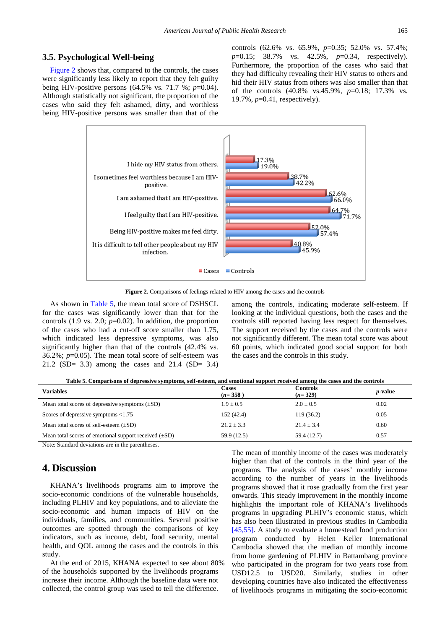## **3.5. Psychological Well-being**

[Figure 2](#page-6-0) shows that, compared to the controls, the cases were significantly less likely to report that they felt guilty being HIV-positive persons (64.5% vs. 71.7 %; *p*=0.04). Although statistically not significant, the proportion of the cases who said they felt ashamed, dirty, and worthless being HIV-positive persons was smaller than that of the controls (62.6% vs. 65.9%, *p*=0.35; 52.0% vs. 57.4%; *p*=0.15; 38.7% vs. 42.5%, *p*=0.34, respectively). Furthermore, the proportion of the cases who said that they had difficulty revealing their HIV status to others and hid their HIV status from others was also smaller than that of the controls (40.8% vs.45.9%, *p*=0.18; 17.3% vs. 19.7%, *p*=0.41, respectively).

<span id="page-6-0"></span>

**Figure 2.** Comparisons of feelings related to HIV among the cases and the controls

As shown in [Table 5,](#page-6-1) the mean total score of DSHSCL for the cases was significantly lower than that for the controls (1.9 vs. 2.0; *p*=0.02). In addition, the proportion of the cases who had a cut-off score smaller than 1.75, which indicated less depressive symptoms, was also significantly higher than that of the controls (42.4% vs. 36.2%; *p*=0.05). The mean total score of self-esteem was 21.2 (SD= 3.3) among the cases and 21.4 (SD= 3.4) among the controls, indicating moderate self-esteem. If looking at the individual questions, both the cases and the controls still reported having less respect for themselves. The support received by the cases and the controls were not significantly different. The mean total score was about 60 points, which indicated good social support for both the cases and the controls in this study.

**Table 5. Comparisons of depressive symptoms, self-esteem, and emotional support received among the cases and the controls**

<span id="page-6-1"></span>

| <b>Variables</b>                                           | Cases<br>$(n=358)$ | Controls<br>$(n=329)$ | <i>p</i> -value |
|------------------------------------------------------------|--------------------|-----------------------|-----------------|
| Mean total scores of depressive symptoms $(\pm SD)$        | $1.9 \pm 0.5$      | $2.0 \pm 0.5$         | 0.02            |
| Scores of depressive symptoms $< 1.75$                     | 152 (42.4)         | 119 (36.2)            | 0.05            |
| Mean total scores of self-esteem $(\pm SD)$                | $21.2 \pm 3.3$     | $21.4 + 3.4$          | 0.60            |
| Mean total scores of emotional support received $(\pm SD)$ | 59.9 (12.5)        | 59.4 (12.7)           | 0.57            |

Note: Standard deviations are in the parentheses.

## **4. Discussion**

KHANA's livelihoods programs aim to improve the socio-economic conditions of the vulnerable households, including PLHIV and key populations, and to alleviate the socio-economic and human impacts of HIV on the individuals, families, and communities. Several positive outcomes are spotted through the comparisons of key indicators, such as income, debt, food security, mental health, and QOL among the cases and the controls in this study.

At the end of 2015, KHANA expected to see about 80% of the households supported by the livelihoods programs increase their income. Although the baseline data were not collected, the control group was used to tell the difference.

The mean of monthly income of the cases was moderately higher than that of the controls in the third year of the programs. The analysis of the cases' monthly income according to the number of years in the livelihoods programs showed that it rose gradually from the first year onwards. This steady improvement in the monthly income highlights the important role of KHANA's livelihoods programs in upgrading PLHIV's economic status, which has also been illustrated in previous studies in Cambodia [\[45,55\].](#page-9-18) A study to evaluate a homestead food production program conducted by Helen Keller International Cambodia showed that the median of monthly income from home gardening of PLHIV in Battambang province who participated in the program for two years rose from USD12.5 to USD20. Similarly, studies in other developing countries have also indicated the effectiveness of livelihoods programs in mitigating the socio-economic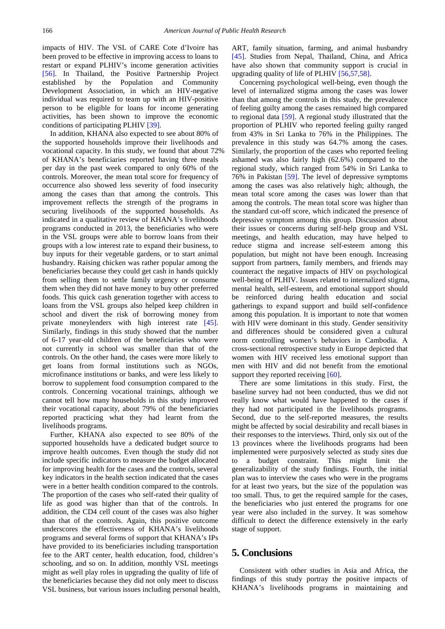impacts of HIV. The VSL of CARE Cote d'Ivoire has been proved to be effective in improving access to loans to restart or expand PLHIV's income generation activities [\[56\].](#page-9-27) In Thailand, the Positive Partnership Project established by the Population and Community Development Association, in which an HIV-negative individual was required to team up with an HIV-positive person to be eligible for loans for income generating activities, has been shown to improve the economic conditions of participating PLHI[V \[39\].](#page-9-12)

In addition, KHANA also expected to see about 80% of the supported households improve their livelihoods and vocational capacity. In this study, we found that about 72% of KHANA's beneficiaries reported having three meals per day in the past week compared to only 60% of the controls. Moreover, the mean total score for frequency of occurrence also showed less severity of food insecurity among the cases than that among the controls. This improvement reflects the strength of the programs in securing livelihoods of the supported households. As indicated in a qualitative review of KHANA's livelihoods programs conducted in 2013, the beneficiaries who were in the VSL groups were able to borrow loans from their groups with a low interest rate to expand their business, to buy inputs for their vegetable gardens, or to start animal husbandry. Raising chicken was rather popular among the beneficiaries because they could get cash in hands quickly from selling them to settle family urgency or consume them when they did not have money to buy other preferred foods. This quick cash generation together with access to loans from the VSL groups also helped keep children in school and divert the risk of borrowing money from private moneylenders with high interest rate [\[45\].](#page-9-18) Similarly, findings in this study showed that the number of 6-17 year-old children of the beneficiaries who were not currently in school was smaller than that of the controls. On the other hand, the cases were more likely to get loans from formal institutions such as NGOs, microfinance institutions or banks, and were less likely to borrow to supplement food consumption compared to the controls. Concerning vocational trainings, although we cannot tell how many households in this study improved their vocational capacity, about 79% of the beneficiaries reported practicing what they had learnt from the livelihoods programs.

Further, KHANA also expected to see 80% of the supported households have a dedicated budget source to improve health outcomes. Even though the study did not include specific indicators to measure the budget allocated for improving health for the cases and the controls, several key indicators in the health section indicated that the cases were in a better health condition compared to the controls. The proportion of the cases who self-rated their quality of life as good was higher than that of the controls. In addition, the CD4 cell count of the cases was also higher than that of the controls. Again, this positive outcome underscores the effectiveness of KHANA's livelihoods programs and several forms of support that KHANA's IPs have provided to its beneficiaries including transportation fee to the ART center, health education, food, children's schooling, and so on. In addition, monthly VSL meetings might as well play roles in upgrading the quality of life of the beneficiaries because they did not only meet to discuss VSL business, but various issues including personal health, ART, family situation, farming, and animal husbandry [\[45\].](#page-9-18) Studies from Nepal, Thailand, China, and Africa have also shown that community support is crucial in upgrading quality of life of PLHIV [\[56,57,58\].](#page-9-27)

Concerning psychological well-being, even though the level of internalized stigma among the cases was lower than that among the controls in this study, the prevalence of feeling guilty among the cases remained high compared to regional data [\[59\].](#page-10-0) A regional study illustrated that the proportion of PLHIV who reported feeling guilty ranged from 43% in Sri Lanka to 76% in the Philippines. The prevalence in this study was 64.7% among the cases. Similarly, the proportion of the cases who reported feeling ashamed was also fairly high (62.6%) compared to the regional study, which ranged from 54% in Sri Lanka to 76% in Pakistan [\[59\].](#page-10-0) The level of depressive symptoms among the cases was also relatively high; although, the mean total score among the cases was lower than that among the controls. The mean total score was higher than the standard cut-off score, which indicated the presence of depressive symptom among this group. Discussion about their issues or concerns during self-help group and VSL meetings, and health education, may have helped to reduce stigma and increase self-esteem among this population, but might not have been enough. Increasing support from partners, family members, and friends may counteract the negative impacts of HIV on psychological well-being of PLHIV. Issues related to internalized stigma, mental health, self-esteem, and emotional support should be reinforced during health education and social gatherings to expand support and build self-confidence among this population. It is important to note that women with HIV were dominant in this study. Gender sensitivity and differences should be considered given a cultural norm controlling women's behaviors in Cambodia. A cross-sectional retrospective study in Europe depicted that women with HIV received less emotional support than men with HIV and did not benefit from the emotional support they reported receiving [\[60\].](#page-10-1)

There are some limitations in this study. First, the baseline survey had not been conducted, thus we did not really know what would have happened to the cases if they had not participated in the livelihoods programs. Second, due to the self-reported measures, the results might be affected by social desirability and recall biases in their responses to the interviews. Third, only six out of the 13 provinces where the livelihoods programs had been implemented were purposively selected as study sites due to a budget constraint. This might limit the generalizability of the study findings. Fourth, the initial plan was to interview the cases who were in the programs for at least two years, but the size of the population was too small. Thus, to get the required sample for the cases, the beneficiaries who just entered the programs for one year were also included in the survey. It was somehow difficult to detect the difference extensively in the early stage of support.

## **5. Conclusions**

Consistent with other studies in Asia and Africa, the findings of this study portray the positive impacts of KHANA's livelihoods programs in maintaining and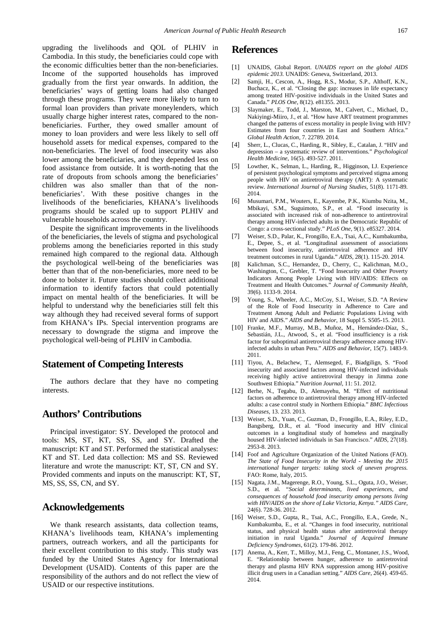upgrading the livelihoods and QOL of PLHIV in Cambodia. In this study, the beneficiaries could cope with the economic difficulties better than the non-beneficiaries. Income of the supported households has improved gradually from the first year onwards. In addition, the beneficiaries' ways of getting loans had also changed through these programs. They were more likely to turn to formal loan providers than private moneylenders, which usually charge higher interest rates, compared to the nonbeneficiaries. Further, they owed smaller amount of money to loan providers and were less likely to sell off household assets for medical expenses, compared to the non-beneficiaries. The level of food insecurity was also lower among the beneficiaries, and they depended less on food assistance from outside. It is worth-noting that the rate of dropouts from schools among the beneficiaries' children was also smaller than that of the nonbeneficiaries'. With these positive changes in the livelihoods of the beneficiaries, KHANA's livelihoods programs should be scaled up to support PLHIV and vulnerable households across the country.

Despite the significant improvements in the livelihoods of the beneficiaries, the levels of stigma and psychological problems among the beneficiaries reported in this study remained high compared to the regional data. Although the psychological well-being of the beneficiaries was better than that of the non-beneficiaries, more need to be done to bolster it. Future studies should collect additional information to identify factors that could potentially impact on mental health of the beneficiaries. It will be helpful to understand why the beneficiaries still felt this way although they had received several forms of support from KHANA's IPs. Special intervention programs are necessary to downgrade the stigma and improve the psychological well-being of PLHIV in Cambodia.

## **Statement of Competing Interests**

The authors declare that they have no competing interests.

# **Authors' Contributions**

Principal investigator: SY. Developed the protocol and tools: MS, ST, KT, SS, SS, and SY. Drafted the manuscript: KT and ST. Performed the statistical analyses: KT and ST. Led data collection: MS and SS. Reviewed literature and wrote the manuscript: KT, ST, CN and SY. Provided comments and inputs on the manuscript: KT, ST, MS, SS, SS, CN, and SY.

## **Acknowledgements**

We thank research assistants, data collection teams, KHANA's livelihoods team, KHANA's implementing partners, outreach workers, and all the participants for their excellent contribution to this study. This study was funded by the United States Agency for International Development (USAID). Contents of this paper are the responsibility of the authors and do not reflect the view of USAID or our respective institutions.

#### **References**

- <span id="page-8-0"></span>[1] UNAIDS, Global Report. *UNAIDS report on the global AIDS epidemic 2013.* UNAIDS: Geneva, Switzerland, 2013.
- <span id="page-8-1"></span>[2] Samji, H., Cescon, A., Hogg, R.S., Modur, S.P., Althoff, K.N., Buchacz, K., et al. "Closing the gap: increases in life expectancy among treated HIV-positive individuals in the United States and Canada." *PLOS One*, 8(12). e81355. 2013.
- [3] Slaymaker, E., Todd, J., Marston, M., Calvert, C., Michael, D., Nakiyingi-Miiro, J., et al. "How have ART treatment programmes changed the patterns of excess mortality in people living with HIV? Estimates from four countries in East and Southern Africa." *Global Health Action*, 7. 22789. 2014.
- <span id="page-8-2"></span>[4] Sherr, L., Clucas, C., Harding, R., Sibley, E., Catalan, J. "HIV and depression – a systematic review of interventions." *Psychological Health Medicine*, 16(5). 493-527. 2011.
- [5] Lowther, K., Selman, L., Harding, R., Higginson, I.J. Experience of persistent psychological symptoms and perceived stigma among people with HIV on antiretroviral therapy (ART): A systematic review. *International Journal of Nursing Studies*, 51(8). 1171-89. 2014.
- <span id="page-8-3"></span>[6] Musumari, P.M., Wouters, E., Kayembe, P.K., Kiumbu Nzita, M., Mbikayi, S.M., Suguimoto, S.P., et al. "Food insecurity is associated with increased risk of non-adherence to antiretroviral therapy among HIV-infected adults in the Democratic Republic of Congo: a cross-sectional study." *PLoS One*, 9(1). e85327. 2014.
- [7] Weiser, S.D., Palar, K., Frongillo, E.A., Tsai, A.C., Kumbakumba, E., Depee, S., et al. "Longitudinal assessment of associations between food insecurity, antiretroviral adherence and HIV treatment outcomes in rural Uganda." *AIDS*, 28(1). 115-20. 2014.
- [8] Kalichman, S.C., Hernandez, D., Cherry, C., Kalichman, M.O., Washington, C., Grebler, T. "Food Insecurity and Other Poverty Indicators Among People Living with HIV/AIDS: Effects on Treatment and Health Outcomes." *Journal of Community Health*, 39(6). 1133-9. 2014.
- [9] Young, S., Wheeler, A.C., McCoy, S.I., Weiser, S.D. "A Review of the Role of Food Insecurity in Adherence to Care and Treatment Among Adult and Pediatric Populations Living with HIV and AIDS." *AIDS and Behavior*, 18 Suppl 5. S505-15. 2013.
- [10] Franke, M.F., Murray, M.B., Muñoz, M., Hernández-Díaz, S., Sebastián, J.L., Atwood, S., et al. "Food insufficiency is a risk factor for suboptimal antiretroviral therapy adherence among HIVinfected adults in urban Peru." *AIDS and Behavior*, 15(7). 1483-9. 2011.
- [11] Tiyou, A., Belachew, T., Alemseged, F., Biadgilign, S. "Food insecurity and associated factors among HIV-infected individuals receiving highly active antiretroviral therapy in Jimma zone Southwest Ethiopia." *Nutrition Journal*, 11: 51. 2012.
- [12] Berhe, N., Tegabu, D., Alemayehu, M. "Effect of nutritional factors on adherence to antiretroviral therapy among HIV-infected adults: a case control study in Northern Ethiopia." *BMC Infectious Diseases*, 13. 233. 2013.
- <span id="page-8-5"></span>[13] Weiser, S.D., Yuan, C., Guzman, D., Frongillo, E.A., Riley, E.D., Bangsberg, D.R., et al. "Food insecurity and HIV clinical outcomes in a longitudinal study of homeless and marginally housed HIV-infected individuals in San Francisco." *AIDS*, 27(18). 2953-8. 2013.
- <span id="page-8-4"></span>[14] Foof and Agriculture Organization of the United Nations (FAO). *The State of Food Insecurity in the World - Meeting the 2015 international hunger targets: taking stock of uneven progress.* FAO: Rome, Italy, 2015.
- [15] Nagata, J.M., Magerenge, R.O., Young, S.L., Oguta, J.O., Weiser, S.D., et al. *"Social determinants, lived experiences, and consequences of household food insecurity among persons living with HIV/AIDS on the shore of Lake Victoria, Kenya." AIDS Care*, 24(6). 728-36. 2012.
- [16] Weiser, S.D., Gupta, R., Tsai, A.C., Frongillo, E.A., Grede, N., Kumbakumba, E., et al. "Changes in food insecurity, nutritional status, and physical health status after antiretroviral therapy initiation in rural Uganda." *Journal of Acquired Immune Deficiency Syndromes*, 61(2). 179-86. 2012.
- [17] Anema, A., Kerr, T., Milloy, M.J., Feng, C., Montaner, J.S., Wood, E. "Relationship between hunger, adherence to antiretroviral therapy and plasma HIV RNA suppression among HIV-positive illicit drug users in a Canadian setting." *AIDS Care*, 26(4). 459-65. 2014.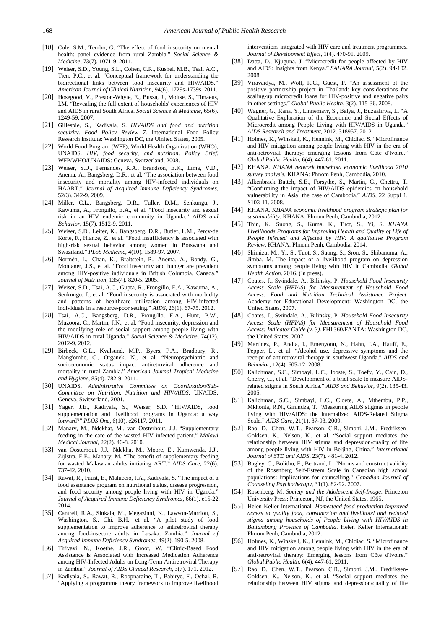- <span id="page-9-5"></span>[18] Cole, S.M., Tembo, G. "The effect of food insecurity on mental health: panel evidence from rural Zambia." *Social Science & Medicine*, 73(7). 1071-9. 2011.
- <span id="page-9-0"></span>[19] Weiser, S.D., Young, S.L., Cohen, C.R., Kushel, M.B., Tsai, A.C., Tien, P.C., et al. "Conceptual framework for understanding the bidirectional links between food insecurity and HIV/AIDS." *American Journal of Clinical Nutrition*, 94(6). 1729s-1739s. 2011.
- <span id="page-9-1"></span>[20] Hosegood, V., Preston-Whyte, E., Busza, J., Moitse, S., Timaeus, I.M. "Revealing the full extent of households' experiences of HIV and AIDS in rural South Africa. *Social Science & Medicine,* 65(6). 1249-59. 2007.
- [21] Gillespie, S., Kadiyala, S. *HIVAIDS and food and nutrition secuirity. Food Policy Review 7.* International Food Policy Research Institute: Washington DC, the Uinited States, 2005.
- <span id="page-9-2"></span>[22] World Food Program (WFP), World Health Organization (WHO), UNAIDS. *HIV, food security, and nutrition. Policy Brief.* WFP/WHO/UNAIDS: Geneva, Switzerland, 2008.
- <span id="page-9-6"></span>[23] Weiser, S.D., Fernandes, K.A., Brandson, E.K., Lima, V.D., Anema, A., Bangsberg, D.R., et al. "The association between food insecurity and mortality among HIV-infected individuals on HAART." *Journal of Acquired Immune Deficiency Syndromes*, 52(3). 342-9. 2009.
- <span id="page-9-3"></span>[24] Miller, C.L., Bangsberg, D.R., Tuller, D.M., Senkungu, J., Kawuma, A., Frongillo, E.A., et al. "Food insecurity and sexual risk in an HIV endemic community in Uganda." *AIDS and Behavior*, 15(7). 1512-9. 2011.
- [25] Weiser, S.D., Leiter, K., Bangsberg, D.R., Butler, L.M., Percy-de Korte, F., Hlanze, Z., et al. "Food insufficiency is associated with high-risk sexual behavior among women in Botswana and Swaziland." *PLoS Medicine*, 4(10). 1589-97. 2007.
- [26] Normén, L., Chan, K., Braitstein, P., Anema, A., Bondy, G., Montaner, J.S., et al. "Food insecurity and hunger are prevalent among HIV-positive individuals in British Columbia, Canada." *Journal of Nutrition*, 135(4). 820-5. 2005.
- <span id="page-9-4"></span>[27] Weiser, S.D., Tsai, A.C., Gupta, R., Frongillo, E.A., Kawuma, A., Senkungu, J., et al. "Food insecurity is associated with morbidity and patterns of healthcare utilization among HIV-infected individuals in a resource-poor setting." *AIDS*, 26(1). 67-75. 2012.
- [28] Tsai, A.C., Bangsberg, D.R., Frongillo, E.A., Hunt, P.W., Muzoora, C., Martin, J.N., et al. "Food insecurity, depression and the modifying role of social support among people living with HIV/AIDS in rural Uganda." *Social Science & Medicine,* 74(12). 2012-9. 2012.
- [29] Birbeck, G.L., Kvalsund, M.P., Byers, P.A., Bradbury, R., Mang'ombe, C., Organek, N., et al. "Neuropsychiatric and socioeconomic status impact antiretroviral adherence and mortality in rural Zambia." *American Journal Tropical Medicine and Hygiene*, 85(4). 782-9. 2011.
- <span id="page-9-7"></span>[30] UNAIDS. *Administrative Committee on Coordination/Sub-Committee on Nutrition, Nutrition and HIV/AIDS*. UNAIDS: Geneva, Switzerland, 2001.
- <span id="page-9-8"></span>[31] Yager, J.E., Kadiyala, S., Weiser, S.D. "HIV/AIDS, food supplementation and livelihood programs in Uganda: a way forward?" *PLOS One*, 6(10). e26117. 2011.
- <span id="page-9-9"></span>[32] Manary, M., Ndekhat, M., van Oosterhout, J.J. "Supplementary feeding in the care of the wasted HIV infected patient." *Malawi Medical Journal*, 22(2). 46-8. 2010.
- [33] van Oosterhout, J.J., Ndekha, M., Moore, E., Kumwenda, J.J., Zijlstra, E.E., Manary, M. "The benefit of supplementary feeding for wasted Malawian adults initiating ART." *AIDS Care*, 22(6). 737-42. 2010.
- [34] Rawat, R., Faust, E., Maluccio, J.A., Kadiyala, S. "The impact of a food assistance program on nutritional status, disease progression, and food security among people living with HIV in Uganda." *Journal of Acquired Immune Deficiency Syndromes*, 66(1). e15-22. 2014.
- <span id="page-9-10"></span>[35] Cantrell, R.A., Sinkala, M., Megazinni, K., Lawson-Marriott, S., Washington, S., Chi, B.H., et al. "A pilot study of food supplementation to improve adherence to antiretroviral therapy among food-insecure adults in Lusaka, Zambia." *Journal of Acquired Immune Deficiency Syndromes*, 49(2). 190-5. 2008.
- [36] Tirivayi, N., Koethe, J.R., Groot, W. "Clinic-Based Food Assistance is Associated with Increased Medication Adherence among HIV-Infected Adults on Long-Term Antiretroviral Therapy in Zambia." *Journal of AIDS Clinical Research*, 3(7). 171. 2012.
- [37] Kadiyala, S., Rawat, R., Roopnaraine, T., Babirye, F., Ochai, R. "Applying a programme theory framework to improve livelihood

interventions integrated with HIV care and treatment programmes. *Journal of Development Effect*, 1(4). 470-91. 2009.

- <span id="page-9-11"></span>[38] Datta, D., Niuguna, J. "Microcredit for people affected by HIV and AIDS: Insights from Kenya." *SAHARA Journal*, 5(2). 94-102. 2008.
- <span id="page-9-12"></span>[39] Viravaidya, M., Wolf, R.C., Guest, P. "An assessment of the positive partnership project in Thailand: key considerations for scaling-up microcredit loans for HIV-positive and negative pairs in other settings." *Global Public Health*, 3(2). 115-36. 2008.
- <span id="page-9-13"></span>[40] Wagner, G., Rana, Y., Linnemayr, S., Balya, J., Buzaalirwa, L. "A Qualitative Exploration of the Economic and Social Effects of Microcredit among People Living with HIV/AIDS in Uganda." *AIDS Research and Treatment*, 2012. 318957. 2012.
- <span id="page-9-14"></span>[41] Holmes, K., Winskell, K., Hennink, M., Chidiac, S. "Microfinance and HIV mitigation among people living with HIV in the era of anti-retroviral therapy: emerging lessons from Cote d'Ivoire." *Global Public Health*, 6(4). 447-61. 2011.
- <span id="page-9-15"></span>[42] KHANA. *KHANA network household economic livelihood 2010 survey analysis.* KHANA: Phnom Penh, Cambodia, 2010.
- <span id="page-9-16"></span>[43] Alkenbrack Batteh, S.E., Forsythe, S., Martin, G., Chettra, T. "Confirming the impact of HIV/AIDS epidemics on household vulnerability in Asia: the case of Cambodia." *AIDS*, 22 Suppl 1. S103-11. 2008.
- <span id="page-9-17"></span>[44] KHANA. *KHANA economic livelihood program strategic plan for sustainability.* KHANA: Phnom Penh, Cambodia, 2012.
- <span id="page-9-18"></span>[45] Thin, K., Suong, S., Kuma, K., Tuot, S., Yi, S. *KHANA Livelihoods Programs for Improving Health and Quality of Life of People Infected and Affected by HIV: A qualitative Program Review*. KHANA: Phnom Penh, Cambodia, 2014.
- <span id="page-9-19"></span>[46] Shimizu, M., Yi, S., Tuot, S., Suong, S., Sron, S., Shibanuma, A., Jimba, M. The impact of a livelihood program on depression symptoms among people living with HIV in Cambodia. *Global Health Action.* 2016. (In press).
- <span id="page-9-20"></span>[47] Coates, J., Swindale, A., Bilinsky, P. *Household Food Insecurity Access Scale (HFIAS) for Measurement of Household Food Access. Food and Nutrition Technical Assistance Project*. Academy for Educational Development: Washington DC, the United States, 2007.
- <span id="page-9-21"></span>[48] Coates, J., Swindale, A., Bilinsky, P. *Household Food Insecurity Access Scale (HFIAS) for Measurement of Household Food Access: Indicator Guide (v. 3).* FHI 360/FANTA: Washington DC, the United States, 2007.
- <span id="page-9-22"></span>[49] Martinez, P., Andia, I., Emenyonu, N., Hahn, J.A., Hauff, E., Pepper, L., et al. "Alcohol use, depressive symptoms and the receipt of antiretroviral therapy in southwest Uganda." *AIDS and Behavior*, 12(4). 605-12. 2008.
- <span id="page-9-23"></span>[50] Kalichman, S.C., Simbayi, L.C., Jooste, S., Toefy, Y., Cain, D., Cherry, C., et al. "Development of a brief scale to measure AIDSrelated stigma in South Africa." *AIDS and Behavior*, 9(2). 135-43. 2005.
- <span id="page-9-24"></span>[51] Kalichman, S.C., Simbayi, L.C., Cloete, A., Mthembu, P.P., Mkhonta, R.N., Ginindza, T. "Measuring AIDS stigmas in people living with HIV/AIDS: the Internalized AIDS-Related Stigma Scale." *AIDS Care*, 21(1). 87-93. 2009.
- <span id="page-9-25"></span>[52] Rao, D., Chen, W.T., Pearson, C.R., Simoni, J.M., Fredriksen-Goldsen, K., Nelson, K., et al. "Social support mediates the relationship between HIV stigma and depression/quality of life among people living with HIV in Beijing, China." *International Journal of STD and AIDS*, 23(7). 481-4. 2012.
- <span id="page-9-26"></span>[53] Bagley, C., Bolitho, F., Bertrand, L. "Norms and construct validity of the Rosenberg Self-Esteem Scale in Canadian high school populations: Implications for counselling." *Canadian Journal of Counseling Psychotherapy*, 31(1). 82-92. 2007.
- [54] Rosenberg, M. *Society and the Adolescent Self-Image*. Princeton University Press: Princeton, NJ, the United States, 1965.
- [55] Helen Keller International. *Homestead food production improved access to quality food, consumption and livelihood and reduced stigma among households of People Living with HIV/AIDS in Battambang Province of Cambodia*. Helen Keller International: Phnom Penh, Cambodia, 2012.
- <span id="page-9-27"></span>[56] Holmes, K., Winskell, K., Hennink, M., Chidiac, S. "Microfinance and HIV mitigation among people living with HIV in the era of anti-retroviral therapy: Emerging lessons from Côte d'Ivoire." *Global Public Health*, 6(4). 447-61. 2011.
- [57] Rao, D., Chen, W.T., Pearson, C.R., Simoni, J.M., Fredriksen-Goldsen, K., Nelson, K., et al. "Social support mediates the relationship between HIV stigma and depression/quality of life